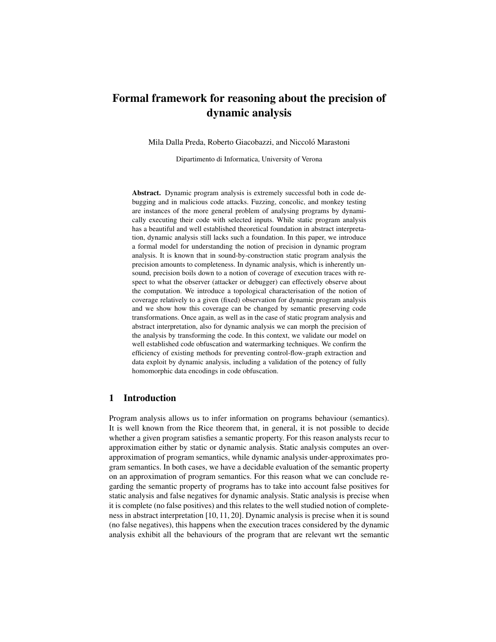# Formal framework for reasoning about the precision of dynamic analysis

Mila Dalla Preda, Roberto Giacobazzi, and Niccoló Marastoni

Dipartimento di Informatica, University of Verona

Abstract. Dynamic program analysis is extremely successful both in code debugging and in malicious code attacks. Fuzzing, concolic, and monkey testing are instances of the more general problem of analysing programs by dynamically executing their code with selected inputs. While static program analysis has a beautiful and well established theoretical foundation in abstract interpretation, dynamic analysis still lacks such a foundation. In this paper, we introduce a formal model for understanding the notion of precision in dynamic program analysis. It is known that in sound-by-construction static program analysis the precision amounts to completeness. In dynamic analysis, which is inherently unsound, precision boils down to a notion of coverage of execution traces with respect to what the observer (attacker or debugger) can effectively observe about the computation. We introduce a topological characterisation of the notion of coverage relatively to a given (fixed) observation for dynamic program analysis and we show how this coverage can be changed by semantic preserving code transformations. Once again, as well as in the case of static program analysis and abstract interpretation, also for dynamic analysis we can morph the precision of the analysis by transforming the code. In this context, we validate our model on well established code obfuscation and watermarking techniques. We confirm the efficiency of existing methods for preventing control-flow-graph extraction and data exploit by dynamic analysis, including a validation of the potency of fully homomorphic data encodings in code obfuscation.

# 1 Introduction

Program analysis allows us to infer information on programs behaviour (semantics). It is well known from the Rice theorem that, in general, it is not possible to decide whether a given program satisfies a semantic property. For this reason analysts recur to approximation either by static or dynamic analysis. Static analysis computes an overapproximation of program semantics, while dynamic analysis under-approximates program semantics. In both cases, we have a decidable evaluation of the semantic property on an approximation of program semantics. For this reason what we can conclude regarding the semantic property of programs has to take into account false positives for static analysis and false negatives for dynamic analysis. Static analysis is precise when it is complete (no false positives) and this relates to the well studied notion of completeness in abstract interpretation [10, 11, 20]. Dynamic analysis is precise when it is sound (no false negatives), this happens when the execution traces considered by the dynamic analysis exhibit all the behaviours of the program that are relevant wrt the semantic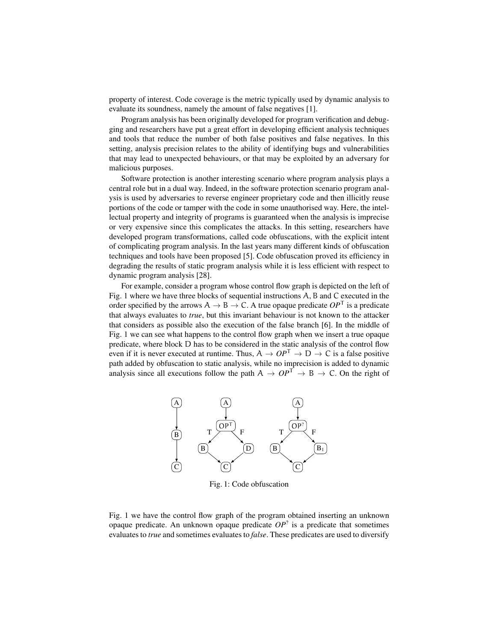property of interest. Code coverage is the metric typically used by dynamic analysis to evaluate its soundness, namely the amount of false negatives [1].

Program analysis has been originally developed for program verification and debugging and researchers have put a great effort in developing efficient analysis techniques and tools that reduce the number of both false positives and false negatives. In this setting, analysis precision relates to the ability of identifying bugs and vulnerabilities that may lead to unexpected behaviours, or that may be exploited by an adversary for malicious purposes.

Software protection is another interesting scenario where program analysis plays a central role but in a dual way. Indeed, in the software protection scenario program analysis is used by adversaries to reverse engineer proprietary code and then illicitly reuse portions of the code or tamper with the code in some unauthorised way. Here, the intellectual property and integrity of programs is guaranteed when the analysis is imprecise or very expensive since this complicates the attacks. In this setting, researchers have developed program transformations, called code obfuscations, with the explicit intent of complicating program analysis. In the last years many different kinds of obfuscation techniques and tools have been proposed [5]. Code obfuscation proved its efficiency in degrading the results of static program analysis while it is less efficient with respect to dynamic program analysis [28].

For example, consider a program whose control flow graph is depicted on the left of Fig. 1 where we have three blocks of sequential instructions A, B and C executed in the order specified by the arrows  $A \rightarrow B \rightarrow C$ . A true opaque predicate  $OP<sup>T</sup>$  is a predicate that always evaluates to *true*, but this invariant behaviour is not known to the attacker that considers as possible also the execution of the false branch [6]. In the middle of Fig. 1 we can see what happens to the control flow graph when we insert a true opaque predicate, where block D has to be considered in the static analysis of the control flow even if it is never executed at runtime. Thus,  $A \to OP^{T} \to D \to C$  is a false positive path added by obfuscation to static analysis, while no imprecision is added to dynamic analysis since all executions follow the path  $A \to OP^{T} \to B \to C$ . On the right of



Fig. 1: Code obfuscation

Fig. 1 we have the control flow graph of the program obtained inserting an unknown opaque predicate. An unknown opaque predicate  $OP<sup>2</sup>$  is a predicate that sometimes evaluates to *true* and sometimes evaluates to *false*. These predicates are used to diversify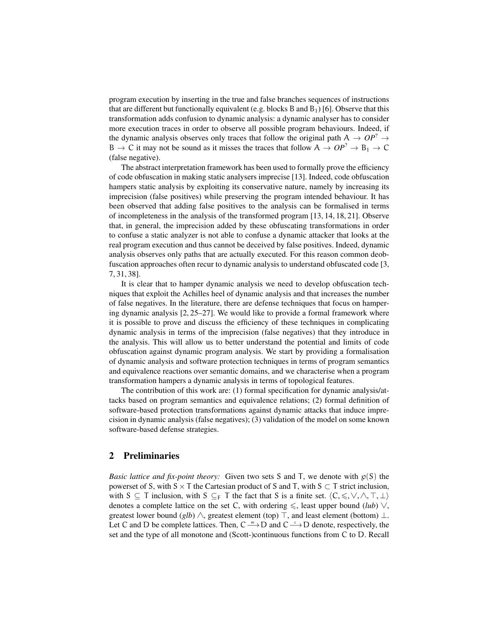program execution by inserting in the true and false branches sequences of instructions that are different but functionally equivalent (e.g. blocks B and  $B_1$ ) [6]. Observe that this transformation adds confusion to dynamic analysis: a dynamic analyser has to consider more execution traces in order to observe all possible program behaviours. Indeed, if the dynamic analysis observes only traces that follow the original path  $A \rightarrow OP^2 \rightarrow$ B  $\rightarrow$  C it may not be sound as it misses the traces that follow  $A \rightarrow OP^2 \rightarrow B_1 \rightarrow C$ (false negative).

The abstract interpretation framework has been used to formally prove the efficiency of code obfuscation in making static analysers imprecise [13]. Indeed, code obfuscation hampers static analysis by exploiting its conservative nature, namely by increasing its imprecision (false positives) while preserving the program intended behaviour. It has been observed that adding false positives to the analysis can be formalised in terms of incompleteness in the analysis of the transformed program [13, 14, 18, 21]. Observe that, in general, the imprecision added by these obfuscating transformations in order to confuse a static analyzer is not able to confuse a dynamic attacker that looks at the real program execution and thus cannot be deceived by false positives. Indeed, dynamic analysis observes only paths that are actually executed. For this reason common deobfuscation approaches often recur to dynamic analysis to understand obfuscated code [3, 7, 31, 38].

It is clear that to hamper dynamic analysis we need to develop obfuscation techniques that exploit the Achilles heel of dynamic analysis and that increases the number of false negatives. In the literature, there are defense techniques that focus on hampering dynamic analysis [2, 25–27]. We would like to provide a formal framework where it is possible to prove and discuss the efficiency of these techniques in complicating dynamic analysis in terms of the imprecision (false negatives) that they introduce in the analysis. This will allow us to better understand the potential and limits of code obfuscation against dynamic program analysis. We start by providing a formalisation of dynamic analysis and software protection techniques in terms of program semantics and equivalence reactions over semantic domains, and we characterise when a program transformation hampers a dynamic analysis in terms of topological features.

The contribution of this work are: (1) formal specification for dynamic analysis/attacks based on program semantics and equivalence relations; (2) formal definition of software-based protection transformations against dynamic attacks that induce imprecision in dynamic analysis (false negatives); (3) validation of the model on some known software-based defense strategies.

## 2 Preliminaries

*Basic lattice and fix-point theory:* Given two sets S and T, we denote with  $p(S)$  the powerset of S, with  $S \times T$  the Cartesian product of S and T, with  $S \subset T$  strict inclusion, with S  $\subseteq$  T inclusion, with S  $\subseteq$ <sub>F</sub> T the fact that S is a finite set.  $\langle C, \leq, \vee, \wedge, \top, \bot \rangle$ denotes a complete lattice on the set C, with ordering  $\leq$ , least upper bound (*lub*)  $\vee$ , greatest lower bound (*glb*)  $\wedge$ , greatest element (top)  $\top$ , and least element (bottom)  $\bot$ . Let C and D be complete lattices. Then,  $C \xrightarrow{m} D$  and  $C \xrightarrow{c} D$  denote, respectively, the set and the type of all monotone and (Scott-)continuous functions from C to D. Recall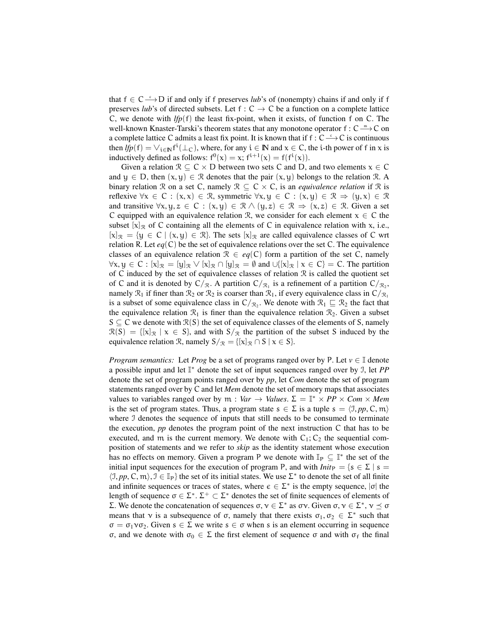that  $f \in C \xrightarrow{c} D$  if and only if f preserves *lub*'s of (nonempty) chains if and only if f preserves *lub*'s of directed subsets. Let f :  $C \rightarrow C$  be a function on a complete lattice C, we denote with  $lfp(f)$  the least fix-point, when it exists, of function f on C. The well-known Knaster-Tarski's theorem states that any monotone operator  $f: C \longrightarrow^{\mathfrak{m}} C$  on a complete lattice C admits a least fix point. It is known that if  $f: C \longrightarrow C$  is continuous then  $lfp(f) = \vee_{i \in \mathbb{N}} f^i(\perp_C)$ , where, for any  $i \in \mathbb{N}$  and  $x \in C$ , the *i*-th power of f in x is inductively defined as follows:  $f^0(x) = x$ ;  $f^{i+1}(x) = f(f^i(x))$ .

Given a relation  $\mathcal{R} \subseteq \mathcal{C} \times \mathcal{D}$  between two sets C and D, and two elements  $x \in \mathcal{C}$ and  $y \in D$ , then  $(x, y) \in \mathcal{R}$  denotes that the pair  $(x, y)$  belongs to the relation R. A binary relation R on a set C, namely  $\mathcal{R} \subseteq C \times C$ , is an *equivalence relation* if R is reflexive  $\forall x \in C : (x, x) \in \mathcal{R}$ , symmetric  $\forall x, y \in C : (x, y) \in \mathcal{R} \Rightarrow (y, x) \in \mathcal{R}$ and transitive  $\forall x, y, z \in C : (x, y) \in \mathbb{R} \land (y, z) \in \mathbb{R} \Rightarrow (x, z) \in \mathbb{R}$ . Given a set C equipped with an equivalence relation R, we consider for each element  $x \in C$  the subset  $[x]_{\mathcal{R}}$  of C containing all the elements of C in equivalence relation with x, i.e.,  $[x]_{\mathcal{R}} = \{y \in C \mid (x, y) \in \mathcal{R}\}\$ . The sets  $[x]_{\mathcal{R}}$  are called equivalence classes of C wrt relation R. Let  $eq(C)$  be the set of equivalence relations over the set C. The equivalence classes of an equivalence relation  $\mathcal{R} \in eq(C)$  form a partition of the set C, namely  $\forall x, y \in C : [x]_{\mathcal{R}} = [y]_{\mathcal{R}} \vee [x]_{\mathcal{R}} \cap [y]_{\mathcal{R}} = \emptyset$  and  $\cup \{[x]_{\mathcal{R}} \mid x \in C\} = C$ . The partition of C induced by the set of equivalence classes of relation  $\Re$  is called the quotient set of C and it is denoted by  $C/\mathcal{R}$ . A partition  $C/\mathcal{R}$ <sub>1</sub> is a refinement of a partition  $C/\mathcal{R}$ <sub>2</sub>, namely  $\mathcal{R}_1$  if finer than  $\mathcal{R}_2$  or  $\mathcal{R}_2$  is coarser than  $\mathcal{R}_1$ , if every equivalence class in  $C/\mathcal{R}_1$ is a subset of some equivalence class in  $C/\mathcal{R}_2$ . We denote with  $\mathcal{R}_1 \subseteq \mathcal{R}_2$  the fact that the equivalence relation  $\mathcal{R}_1$  is finer than the equivalence relation  $\mathcal{R}_2$ . Given a subset  $S \subseteq C$  we denote with  $\mathcal{R}(S)$  the set of equivalence classes of the elements of S, namely  $\mathcal{R}(S) = \{[\mathbf{x}]_{\mathcal{R}} | \mathbf{x} \in S\}$ , and with  $S/\mathcal{R}$  the partition of the subset S induced by the equivalence relation R, namely  $S/\mathcal{R} = \{ [x]_{\mathcal{R}} \cap S \mid x \in S \}.$ 

*Program semantics:* Let *Prog* be a set of programs ranged over by P. Let  $v \in \mathbb{I}$  denote a possible input and let I <sup>∗</sup> denote the set of input sequences ranged over by I, let *PP* denote the set of program points ranged over by *pp*, let *Com* denote the set of program statements ranged over by C and let *Mem* denote the set of memory maps that associates values to variables ranged over by  $m : Var \rightarrow Values$ .  $\Sigma = \mathbb{I}^* \times PP \times Com \times Mem$ is the set of program states. Thus, a program state  $s \in \Sigma$  is a tuple  $s = \langle \mathcal{I}, pp, C, m \rangle$ where J denotes the sequence of inputs that still needs to be consumed to terminate the execution, *pp* denotes the program point of the next instruction C that has to be executed, and m is the current memory. We denote with  $C_1$ ;  $C_2$  the sequential composition of statements and we refer to *skip* as the identity statement whose execution has no effects on memory. Given a program P we denote with  $\mathbb{I}_P \subseteq \mathbb{I}^*$  the set of the initial input sequences for the execution of program P, and with  $Init_P = \{s \in \Sigma \mid s =$  $\langle 1, pp, C, m \rangle, 1 \in \mathbb{I}_P$  the set of its initial states. We use  $\Sigma^*$  to denote the set of all finite and infinite sequences or traces of states, where  $\epsilon \in \Sigma^*$  is the empty sequence,  $|\sigma|$  the length of sequence  $\sigma \in \Sigma^*$ .  $\Sigma^+ \subset \Sigma^*$  denotes the set of finite sequences of elements of Σ. We denote the concatenation of sequences  $\sigma, \nu \in \Sigma^*$  as  $\sigma \nu$ . Given  $\sigma, \nu \in \Sigma^*, \nu \preceq \sigma$ means that  $\nu$  is a subsequence of  $\sigma$ , namely that there exists  $\sigma_1, \sigma_2 \in \Sigma^*$  such that  $\sigma = \sigma_1 \nu \sigma_2$ . Given  $s \in \Sigma$  we write  $s \in \sigma$  when s is an element occurring in sequence σ, and we denote with  $\sigma_0 \in \Sigma$  the first element of sequence σ and with  $\sigma_f$  the final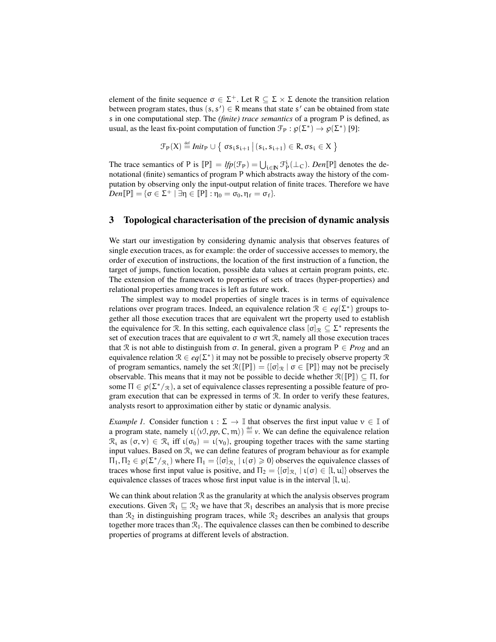element of the finite sequence  $\sigma \in \Sigma^+$ . Let  $R \subseteq \Sigma \times \Sigma$  denote the transition relation between program states, thus  $(s, s') \in R$  means that state s' can be obtained from state s in one computational step. The *(finite) trace semantics* of a program P is defined, as usual, as the least fix-point computation of function  $\mathcal{F}_P : \mathfrak{g}(\Sigma^*) \to \mathfrak{g}(\Sigma^*)$  [9]:

$$
\mathcal{F}_P(X) \stackrel{\text{\tiny def}}{=} \textit{Init}_P \cup \big\{ \; \sigma s_i s_{i+1} \, \big\vert \, (s_i,s_{i+1}) \in R, \sigma s_i \in X \; \big\}
$$

The trace semantics of P is  $[\mathbb{P}] = lfp(\mathcal{F}_{\mathbb{P}}) = \bigcup_{i \in \mathbb{N}} \mathcal{F}_{\mathbb{P}}^i(\perp_C)$ . *Den*  $[\mathbb{P}]$  denotes the denotational (finite) semantics of program P which abstracts away the history of the computation by observing only the input-output relation of finite traces. Therefore we have  $Den[\![P]\!] = \{\sigma \in \Sigma^+ \mid \exists \eta \in [\![P]\!] : \eta_0 = \sigma_0, \eta_f = \sigma_f\}.$ 

## 3 Topological characterisation of the precision of dynamic analysis

We start our investigation by considering dynamic analysis that observes features of single execution traces, as for example: the order of successive accesses to memory, the order of execution of instructions, the location of the first instruction of a function, the target of jumps, function location, possible data values at certain program points, etc. The extension of the framework to properties of sets of traces (hyper-properties) and relational properties among traces is left as future work.

The simplest way to model properties of single traces is in terms of equivalence relations over program traces. Indeed, an equivalence relation  $\mathcal{R} \in eq(\Sigma^*)$  groups together all those execution traces that are equivalent wrt the property used to establish the equivalence for R. In this setting, each equivalence class  $[\sigma]_{\mathcal{R}} \subseteq \Sigma^*$  represents the set of execution traces that are equivalent to  $\sigma$  wrt  $\mathcal{R}$ , namely all those execution traces that R is not able to distinguish from σ. In general, given a program  $P \in Prog$  and an equivalence relation  $\mathcal{R} \in eq(\Sigma^*)$  it may not be possible to precisely observe property  $\mathcal{R}$ of program semantics, namely the set  $\mathcal{R}(\llbracket P \rrbracket) = \{ [\sigma]_{\mathcal{R}} \mid \sigma \in \llbracket P \rrbracket \}$  may not be precisely observable. This means that it may not be possible to decide whether  $\mathcal{R}(\llbracket P \rrbracket) \subseteq \Pi$ , for some  $\Pi \in \mathfrak{g}(\Sigma^*/\mathfrak{g})$ , a set of equivalence classes representing a possible feature of program execution that can be expressed in terms of R. In order to verify these features, analysts resort to approximation either by static or dynamic analysis.

*Example 1.* Consider function  $\iota : \Sigma \to \mathbb{I}$  that observes the first input value  $\nu \in \mathbb{I}$  of a program state, namely  $\iota(\langle vJ, pp, C, m \rangle) \stackrel{\text{def}}{=} v$ . We can define the equivalence relation  $\mathcal{R}_1$  as  $(\sigma, \nu) \in \mathcal{R}_1$  iff  $\iota(\sigma_0) = \iota(\nu_0)$ , grouping together traces with the same starting input values. Based on  $\mathcal{R}_1$  we can define features of program behaviour as for example  $\Pi_1, \Pi_2 \in \mathfrak{g}(\Sigma^*/\mathfrak{X}_1)$  where  $\Pi_1 = \{ [\sigma]_{\mathfrak{X}_1} \mid \iota(\sigma) \geq 0 \}$  observes the equivalence classes of traces whose first input value is positive, and  $\Pi_2 = \{ [\sigma]_{\mathcal{R}_1} \mid \iota(\sigma) \in [l, u] \}$  observes the equivalence classes of traces whose first input value is in the interval [l, u].

We can think about relation  $\mathcal R$  as the granularity at which the analysis observes program executions. Given  $\mathcal{R}_1 \subseteq \mathcal{R}_2$  we have that  $\mathcal{R}_1$  describes an analysis that is more precise than  $\mathcal{R}_2$  in distinguishing program traces, while  $\mathcal{R}_2$  describes an analysis that groups together more traces than  $\mathcal{R}_1$ . The equivalence classes can then be combined to describe properties of programs at different levels of abstraction.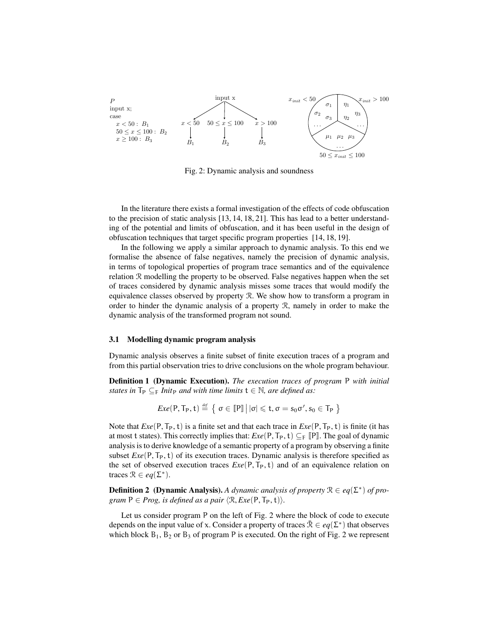

Fig. 2: Dynamic analysis and soundness

In the literature there exists a formal investigation of the effects of code obfuscation to the precision of static analysis [13, 14, 18, 21]. This has lead to a better understanding of the potential and limits of obfuscation, and it has been useful in the design of obfuscation techniques that target specific program properties [14, 18, 19].

In the following we apply a similar approach to dynamic analysis. To this end we formalise the absence of false negatives, namely the precision of dynamic analysis, in terms of topological properties of program trace semantics and of the equivalence relation R modelling the property to be observed. False negatives happen when the set of traces considered by dynamic analysis misses some traces that would modify the equivalence classes observed by property R. We show how to transform a program in order to hinder the dynamic analysis of a property R, namely in order to make the dynamic analysis of the transformed program not sound.

#### 3.1 Modelling dynamic program analysis

Dynamic analysis observes a finite subset of finite execution traces of a program and from this partial observation tries to drive conclusions on the whole program behaviour.

Definition 1 (Dynamic Execution). *The execution traces of program* P *with initial states in*  $T_P \subseteq_F Int_P$  *and with time limits*  $t \in \mathbb{N}$ *, are defined as:* 

$$
Exe(P, T_P, t) \stackrel{\text{def}}{=} \left\{ \sigma \in \llbracket P \rrbracket \, \big| \, |\sigma| \leqslant t, \sigma = s_0 \sigma', s_0 \in T_P \, \right\}
$$

Note that  $Exe(P, T_P, t)$  is a finite set and that each trace in  $Exe(P, T_P, t)$  is finite (it has at most t states). This correctly implies that:  $Exe(P, T_P, t) \subseteq_F \mathbb{P}$ . The goal of dynamic analysis is to derive knowledge of a semantic property of a program by observing a finite subset  $Exe(P, T_P, t)$  of its execution traces. Dynamic analysis is therefore specified as the set of observed execution traces  $Exe(P, T_P, t)$  and of an equivalence relation on traces  $\mathcal{R} \in eq(\Sigma^*)$ .

**Definition 2** (**Dynamic Analysis**). A dynamic analysis of property  $\mathcal{R} \in eq(\Sigma^*)$  of pro*gram*  $P \in Prog$ , *is defined as a pair*  $\langle \mathcal{R}, Exe(P, T_P, t) \rangle$ *.* 

Let us consider program P on the left of Fig. 2 where the block of code to execute depends on the input value of x. Consider a property of traces  $\bar{\mathcal{R}} \in eq(\Sigma^*)$  that observes which block  $B_1$ ,  $B_2$  or  $B_3$  of program P is executed. On the right of Fig. 2 we represent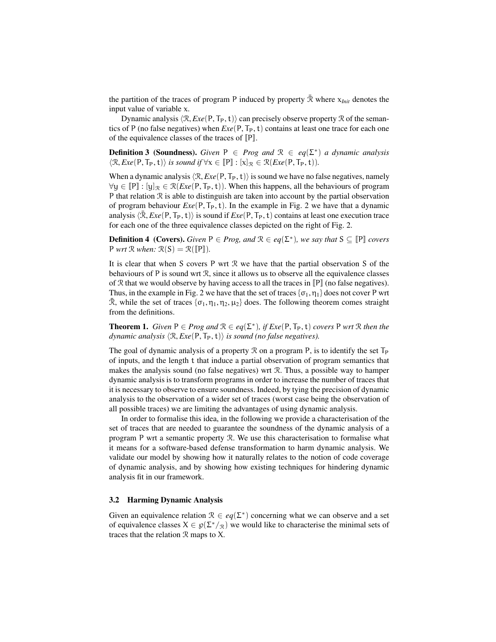the partition of the traces of program P induced by property  $\bar{\mathcal{R}}$  where  $x_{Init}$  denotes the input value of variable x.

Dynamic analysis  $\langle \mathcal{R}, Exe(\mathsf{P}, \mathsf{T}_{\mathsf{P}}, t) \rangle$  can precisely observe property  $\mathcal R$  of the semantics of P (no false negatives) when  $Exe(P, T_P, t)$  contains at least one trace for each one of the equivalence classes of the traces of  $[**P**$ ].

**Definition 3 (Soundness).** *Given*  $P \in Prog$  *and*  $\mathcal{R} \in eq(\Sigma^*)$  *a dynamic analysis*  $\langle \mathcal{R}, Exe(\mathsf{P}, \mathsf{T}_{\mathsf{P}}, t) \rangle$  *is sound if*  $\forall x \in [\![ \mathsf{P} ] \!] : [x]_{\mathcal{R}} \in \mathcal{R}(Exe(\mathsf{P}, \mathsf{T}_{\mathsf{P}}, t)).$ 

When a dynamic analysis  $\langle \mathcal{R}, Exe(P, T_P, t) \rangle$  is sound we have no false negatives, namely  $∀y ∈ [P] : [y]_{R} ∈ R(Exe(P, T_P, t))$ . When this happens, all the behaviours of program P that relation  $R$  is able to distinguish are taken into account by the partial observation of program behaviour  $Exe(P, T_P, t)$ . In the example in Fig. 2 we have that a dynamic analysis  $\langle \bar{\mathcal{R}}, Exe(P, T_P, t) \rangle$  is sound if  $Exe(P, T_P, t)$  contains at least one execution trace for each one of the three equivalence classes depicted on the right of Fig. 2.

**Definition 4** (Covers). *Given*  $P \in Prog$ , and  $\mathcal{R} \in eq(\Sigma^*)$ , we say that  $S \subseteq [P]$  *covers*  $P$  *wrt*  $\mathcal{R}$  *when:*  $\mathcal{R}(S) = \mathcal{R}([\![P]\!])$ *.* 

It is clear that when S covers P wrt R we have that the partial observation S of the behaviours of P is sound wrt  $\mathcal{R}$ , since it allows us to observe all the equivalence classes of  $R$  that we would observe by having access to all the traces in  $[P]$  (no false negatives). Thus, in the example in Fig. 2 we have that the set of traces  $\{\sigma_1, \eta_1\}$  does not cover P wrt  $\bar{\mathcal{R}}$ , while the set of traces  $\{\sigma_1, \eta_1, \eta_2, \mu_2\}$  does. The following theorem comes straight from the definitions.

**Theorem 1.** *Given*  $P \in Prog$  *and*  $\mathcal{R} \in eq(\Sigma^*)$ *, if*  $Exe(P, T_P, t)$  *covers* P *wrt*  $\mathcal{R}$  *then the dynamic analysis*  $\langle \mathcal{R}, Exe(\mathsf{P}, \mathsf{T}_{\mathsf{P}}, t) \rangle$  *is sound (no false negatives).* 

The goal of dynamic analysis of a property R on a program P, is to identify the set  $T_P$ of inputs, and the length t that induce a partial observation of program semantics that makes the analysis sound (no false negatives) wrt R. Thus, a possible way to hamper dynamic analysis is to transform programs in order to increase the number of traces that it is necessary to observe to ensure soundness. Indeed, by tying the precision of dynamic analysis to the observation of a wider set of traces (worst case being the observation of all possible traces) we are limiting the advantages of using dynamic analysis.

In order to formalise this idea, in the following we provide a characterisation of the set of traces that are needed to guarantee the soundness of the dynamic analysis of a program P wrt a semantic property R. We use this characterisation to formalise what it means for a software-based defense transformation to harm dynamic analysis. We validate our model by showing how it naturally relates to the notion of code coverage of dynamic analysis, and by showing how existing techniques for hindering dynamic analysis fit in our framework.

### 3.2 Harming Dynamic Analysis

Given an equivalence relation  $\mathcal{R} \in eq(\Sigma^*)$  concerning what we can observe and a set of equivalence classes  $X \in \mathfrak{g}(\Sigma^*/\mathfrak{g})$  we would like to characterise the minimal sets of traces that the relation  $\Re$  maps to  $X$ .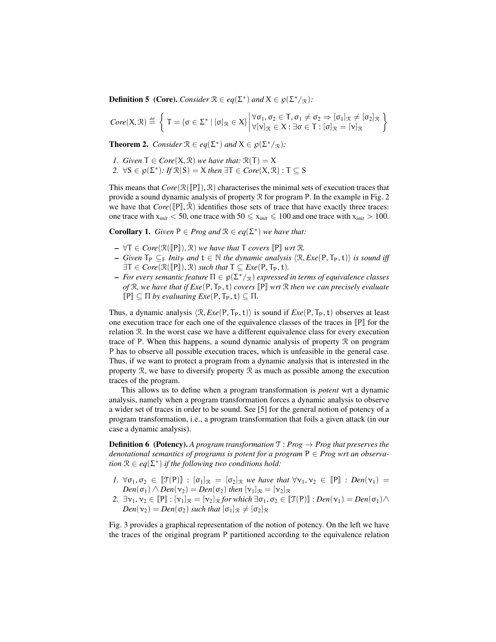**Definition 5** (Core). *Consider*  $\mathcal{R} \in eq(\Sigma^*)$  *and*  $X \in \mathfrak{g}(\Sigma^*/\mathfrak{R})$ *:* 

$$
\textit{Core}(X,\mathfrak{R})\stackrel{\text{\tiny def}}{=}\left\{\,T=\{\sigma\in\Sigma^*\mid[\sigma]_{\mathfrak{R}}\in X\}\left|\begin{matrix}\forall\sigma_1,\sigma_2\in\mathsf{T},\sigma_1\neq\sigma_2\Rightarrow[\sigma_1]_{\mathfrak{R}}\neq[\sigma_2]_{\mathfrak{R}}\\ \forall[\nu]_{\mathfrak{R}}\in X:\exists\sigma\in\mathsf{T}:[\sigma]_{\mathfrak{R}}=[\nu]_{\mathfrak{R}}\end{matrix}\right.\right\}
$$

**Theorem 2.** *Consider*  $\mathcal{R} \in eq(\Sigma^*)$  *and*  $X \in \mathcal{G}(\Sigma^*/_{\mathcal{R}})$ *:* 

- *1. Given*  $T \in Core(X, \mathcal{R})$  *we have that:*  $\mathcal{R}(T) = X$
- 2.  $\forall S \in \mathcal{D}(\Sigma^*)$ : *If*  $\mathcal{R}(S) = X$  *then*  $\exists T \in Core(X, \mathcal{R})$ :  $T \subseteq S$

This means that  $Core(\mathbb{R}(\llbracket P \rrbracket), \mathcal{R})$  characterises the minimal sets of execution traces that provide a sound dynamic analysis of property  $\Re$  for program P. In the example in Fig. 2 we have that  $Core([\mathbb{P}],\bar{\mathbb{R}})$  identifies those sets of trace that have exactly three traces: one trace with  $x_{init} < 50$ , one trace with  $50 \le x_{init} \le 100$  and one trace with  $x_{init} > 100$ .

**Corollary 1.** *Given*  $P \in Prog$  *and*  $\mathcal{R} \in eq(\Sigma^*)$  *we have that:* 

- $\mathsf{U} = \forall \mathsf{T} \in \mathit{Core}(\mathbb{R}(\mathbb{P})), \mathcal{R}$  *we have that*  $\mathsf{T}$  *covers*  $\mathbb{P} \mathbb{P}$  *wrt*  $\mathcal{R}$ *.*
- $-$  *Given*  $\mathsf{T}_P$  ⊆<sub>F</sub> *Init*<sub>P</sub> *and*  $\mathsf{t} \in \mathbb{N}$  *the dynamic analysis*  $\langle \mathcal{R}, Exe(\mathsf{P}, \mathsf{T}_P, \mathsf{t}) \rangle$  *is sound iff*  $\exists T \in Core(\mathcal{R}(\llbracket P \rrbracket), \mathcal{R})$  *such that*  $T \subseteq Exe(P, T_P, t)$ *.*
- *For every semantic feature* Π ∈ ℘(Σ <sup>∗</sup>/R) *expressed in terms of equivalence classes of*  $\mathbb{R}$ *, we have that if*  $Exe(P, T_P, t)$  *covers*  $\mathbb{P}$  *wrt*  $\mathbb{R}$  *then we can precisely evaluate*  $\llbracket P \rrbracket \subset \Pi$  *by evaluating Exe*(P,  $T_P$ , t)  $\subset \Pi$ *.*

Thus, a dynamic analysis  $\langle \mathcal{R}, Exe(P, T_P, t) \rangle$  is sound if  $Exe(P, T_P, t)$  observes at least one execution trace for each one of the equivalence classes of the traces in  $\llbracket P \rrbracket$  for the relation R. In the worst case we have a different equivalence class for every execution trace of P. When this happens, a sound dynamic analysis of property  $\mathcal R$  on program P has to observe all possible execution traces, which is unfeasible in the general case. Thus, if we want to protect a program from a dynamic analysis that is interested in the property  $R$ , we have to diversify property  $R$  as much as possible among the execution traces of the program.

This allows us to define when a program transformation is *potent* wrt a dynamic analysis, namely when a program transformation forces a dynamic analysis to observe a wider set of traces in order to be sound. See [5] for the general notion of potency of a program transformation, i.e., a program transformation that foils a given attack (in our case a dynamic analysis).

**Definition 6** (Potency). A program transformation  $\mathcal{T}: Prog \rightarrow Prog$  that preserves the *denotational semantics of programs is potent for a program* P ∈ *Prog wrt an observation*  $\mathcal{R} \in eq(\Sigma^*)$  *if the following two conditions hold:* 

- *1.*  $\forall \sigma_1, \sigma_2 \in [\![\mathfrak{T}(P)]\!] : [\sigma_1]_{\mathcal{R}} = [\sigma_2]_{\mathcal{R}}$  *we have that*  $\forall \nu_1, \nu_2 \in [\![P]\!] : Den(\nu_1) =$  $Den(\sigma_1) \wedge Den(\nu_2) = Den(\sigma_2)$  *then*  $[\nu_1]_{\mathcal{R}} = [\nu_2]_{\mathcal{R}}$
- 2.  $\exists v_1, v_2 \in [\![P]\!] : [v_1]_{\mathcal{R}} = [v_2]_{\mathcal{R}}$  *for which*  $\exists \sigma_1, \sigma_2 \in [\![\mathcal{T}(P)]\!] : Den(v_1) = Den(\sigma_1) \wedge$  $Den(\nu_2) = Den(\sigma_2)$  *such that*  $[\sigma_1]_{\mathcal{R}} \neq [\sigma_2]_{\mathcal{R}}$

Fig. 3 provides a graphical representation of the notion of potency. On the left we have the traces of the original program P partitioned according to the equivalence relation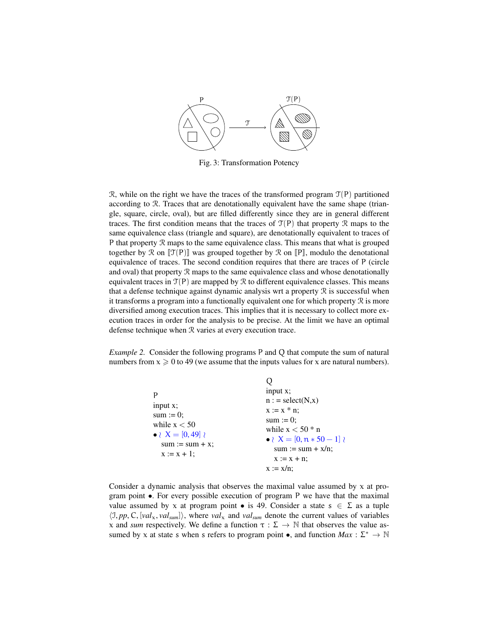

Fig. 3: Transformation Potency

R, while on the right we have the traces of the transformed program  $\mathcal{T}(P)$  partitioned according to R. Traces that are denotationally equivalent have the same shape (triangle, square, circle, oval), but are filled differently since they are in general different traces. The first condition means that the traces of  $\mathcal{T}(P)$  that property R maps to the same equivalence class (triangle and square), are denotationally equivalent to traces of P that property R maps to the same equivalence class. This means that what is grouped together by R on  $\llbracket \mathcal{T}(P) \rrbracket$  was grouped together by R on  $\llbracket P \rrbracket$ , modulo the denotational equivalence of traces. The second condition requires that there are traces of P (circle and oval) that property R maps to the same equivalence class and whose denotationally equivalent traces in  $\mathcal{T}(P)$  are mapped by  $\mathcal R$  to different equivalence classes. This means that a defense technique against dynamic analysis wrt a property  $R$  is successful when it transforms a program into a functionally equivalent one for which property  $\mathcal R$  is more diversified among execution traces. This implies that it is necessary to collect more execution traces in order for the analysis to be precise. At the limit we have an optimal defense technique when R varies at every execution trace.

*Example 2.* Consider the following programs P and Q that compute the sum of natural numbers from  $x \ge 0$  to 49 (we assume that the inputs values for x are natural numbers).

| input $x$ ;<br>$sum := 0$ ;<br>while $x < 50$<br>• $X = [0, 49]$<br>$sum := sum + x$ ;<br>$x := x + 1;$ | input $x$ ;<br>$n := select(N,x)$<br>$x := x * n$ ;<br>sum := $0$ ;<br>while $x < 50$ * n<br>$\bullet \wr X = [0, n * 50 - 1]$<br>$sum := sum + x/n;$<br>$X := X + n$ ;<br>$x := x/n$ ; |
|---------------------------------------------------------------------------------------------------------|-----------------------------------------------------------------------------------------------------------------------------------------------------------------------------------------|
|                                                                                                         |                                                                                                                                                                                         |

Consider a dynamic analysis that observes the maximal value assumed by  $x$  at program point  $\bullet$ . For every possible execution of program P we have that the maximal value assumed by x at program point • is 49. Consider a state  $s \in \Sigma$  as a tuple  $\langle 1, pp, C, [val_x, val_{sum}] \rangle$ , where *val*<sub>x</sub> and *val<sub>sum</sub>* denote the current values of variables x and *sum* respectively. We define a function  $\tau : \Sigma \to \mathbb{N}$  that observes the value assumed by x at state s when s refers to program point  $\bullet$ , and function  $Max : \Sigma^* \to \mathbb{N}$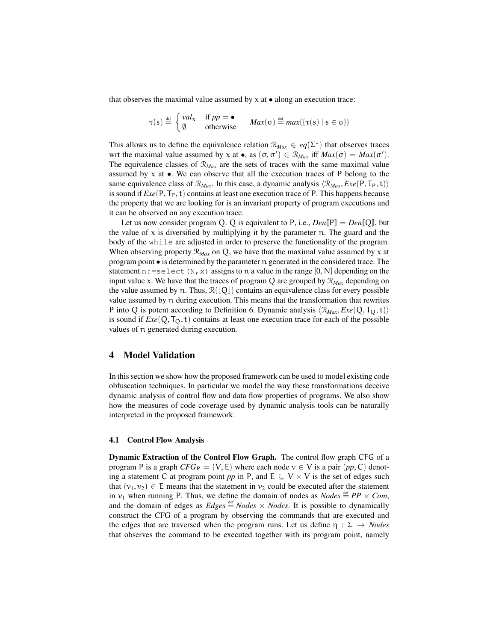that observes the maximal value assumed by  $x$  at  $\bullet$  along an execution trace:

$$
\tau(s) \stackrel{\text{def}}{=} \begin{cases} val_x & \text{if } pp = \bullet \\ \emptyset & \text{otherwise} \end{cases} \quad Max(\sigma) \stackrel{\text{def}}{=} max(\{\tau(s) \mid s \in \sigma\})
$$

This allows us to define the equivalence relation  $\mathcal{R}_{Max} \in eq(\Sigma^*)$  that observes traces wrt the maximal value assumed by x at  $\bullet$ , as  $(\sigma, \sigma') \in \mathcal{R}_{Max}$  iff  $Max(\sigma) = Max(\sigma')$ . The equivalence classes of  $\mathcal{R}_{Max}$  are the sets of traces with the same maximal value assumed by  $x$  at  $\bullet$ . We can observe that all the execution traces of P belong to the same equivalence class of  $\mathcal{R}_{Max}$ . In this case, a dynamic analysis  $\langle \mathcal{R}_{Max}, Exe(P, T_P, t) \rangle$ is sound if  $Exe(P, T_P, t)$  contains at least one execution trace of P. This happens because the property that we are looking for is an invariant property of program executions and it can be observed on any execution trace.

Let us now consider program Q. Q is equivalent to P, i.e.,  $Den[\mathbb{P}] = Den[\mathbb{Q}]$ , but the value of  $x$  is diversified by multiplying it by the parameter n. The guard and the body of the while are adjusted in order to preserve the functionality of the program. When observing property  $\mathcal{R}_{\text{Max}}$  on Q, we have that the maximal value assumed by x at program point • is determined by the parameter n generated in the considered trace. The statement n: = select (N, x) assigns to n a value in the range  $[0, N]$  depending on the input value x. We have that the traces of program  $Q$  are grouped by  $\mathcal{R}_{Max}$  depending on the value assumed by n. Thus,  $\mathcal{R}([\![Q]\!])$  contains an equivalence class for every possible value assumed by n during execution. This means that the transformation that rewrites P into Q is potent according to Definition 6. Dynamic analysis  $\langle \mathcal{R}_{Max}, Exe(Q, T_O, t) \rangle$ is sound if  $Exe(Q, T<sub>O</sub>, t)$  contains at least one execution trace for each of the possible values of n generated during execution.

## 4 Model Validation

In this section we show how the proposed framework can be used to model existing code obfuscation techniques. In particular we model the way these transformations deceive dynamic analysis of control flow and data flow properties of programs. We also show how the measures of code coverage used by dynamic analysis tools can be naturally interpreted in the proposed framework.

#### 4.1 Control Flow Analysis

Dynamic Extraction of the Control Flow Graph. The control flow graph CFG of a program P is a graph  $CFG_P = (V, E)$  where each node  $v \in V$  is a pair  $(pp, C)$  denoting a statement C at program point *pp* in P, and  $E \subseteq V \times V$  is the set of edges such that  $(v_1, v_2) \in E$  means that the statement in  $v_2$  could be executed after the statement in  $v_1$  when running P. Thus, we define the domain of nodes as *Nodes*  $\stackrel{\text{def}}{=} PP \times Com$ , and the domain of edges as  $Edges \triangleq Nodes \times Nodes$ . It is possible to dynamically construct the CFG of a program by observing the commands that are executed and the edges that are traversed when the program runs. Let us define  $\eta : \Sigma \to \text{Nodes}$ that observes the command to be executed together with its program point, namely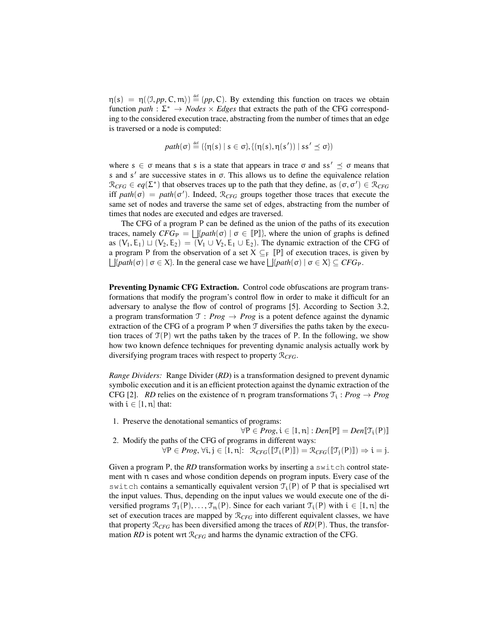$\eta(s) = \eta(\langle 1, pp, C, \mathfrak{m} \rangle) \stackrel{\text{def}}{=} (pp, C)$ . By extending this function on traces we obtain function *path* :  $\Sigma^* \to Nodes \times Edges$  that extracts the path of the CFG corresponding to the considered execution trace, abstracting from the number of times that an edge is traversed or a node is computed:

$$
path(\sigma) \stackrel{\text{def}}{=} (\{\eta(s) \mid s \in \sigma\}, \{(\eta(s), \eta(s')) \mid ss' \preceq \sigma\})
$$

where  $s \in \sigma$  means that s is a state that appears in trace  $\sigma$  and ss'  $\preceq \sigma$  means that s and  $s'$  are successive states in  $\sigma$ . This allows us to define the equivalence relation  $\mathcal{R}_{CFG} \in eq(\Sigma^*)$  that observes traces up to the path that they define, as  $(\sigma, \sigma') \in \mathcal{R}_{CFG}$ iff  $path(\sigma) = path(\sigma')$ . Indeed,  $\mathcal{R}_{CFG}$  groups together those traces that execute the same set of nodes and traverse the same set of edges, abstracting from the number of times that nodes are executed and edges are traversed.

The CFG of a program P can be defined as the union of the paths of its execution traces, namely  $CFG_P = \bigsqcup [path(\sigma) | \sigma \in [P]$ , where the union of graphs is defined as  $(V_1, E_1) \sqcup (V_2, E_2) = (V_1 \cup V_2, E_1 \cup E_2)$ . The dynamic extraction of the CFG of a program P from the observation of a set  $X \subseteq_F \P$  of execution traces, is given by  $\bigcup \{path(\sigma) \mid \sigma \in X\}$ . In the general case we have  $\bigcup \{path(\sigma) \mid \sigma \in X\} \subseteq CFG_P$ .

Preventing Dynamic CFG Extraction. Control code obfuscations are program transformations that modify the program's control flow in order to make it difficult for an adversary to analyse the flow of control of programs [5]. According to Section 3.2, a program transformation  $\mathcal{T}$  : *Prog*  $\rightarrow$  *Prog* is a potent defence against the dynamic extraction of the CFG of a program P when T diversifies the paths taken by the execution traces of  $\mathcal{T}(P)$  wrt the paths taken by the traces of P. In the following, we show how two known defence techniques for preventing dynamic analysis actually work by diversifying program traces with respect to property R*CFG*.

*Range Dividers:* Range Divider (*RD*) is a transformation designed to prevent dynamic symbolic execution and it is an efficient protection against the dynamic extraction of the CFG [2]. *RD* relies on the existence of n program transformations  $\mathcal{T}_i$ : *Prog*  $\rightarrow$  *Prog* with  $i \in [1, n]$  that:

- 1. Preserve the denotational semantics of programs:
- $\forall P \in Prog, i \in [1, n] : Den[\mathbb{P}] = Den[\mathbb{F}_i(P)]$ 2. Modify the paths of the CFG of programs in different ways:  $\forall P \in Prog, \forall i, j \in [1, n]: \mathcal{R}_{CFG}([\![\mathcal{T}_i(P)]\!]) = \mathcal{R}_{CFG}([\![\mathcal{T}_j(P)]\!]) \Rightarrow i = j.$

Given a program P, the *RD* transformation works by inserting a switch control statement with n cases and whose condition depends on program inputs. Every case of the switch contains a semantically equivalent version  $\mathcal{T}_i(P)$  of P that is specialised wrt the input values. Thus, depending on the input values we would execute one of the diversified programs  $\mathcal{T}_1(P), \ldots, \mathcal{T}_n(P)$ . Since for each variant  $\mathcal{T}_i(P)$  with  $i \in [1, n]$  the set of execution traces are mapped by  $\mathcal{R}_{CFG}$  into different equivalent classes, we have that property  $\mathcal{R}_{CFG}$  has been diversified among the traces of  $RD(P)$ . Thus, the transformation *RD* is potent wrt  $\mathcal{R}_{CFG}$  and harms the dynamic extraction of the CFG.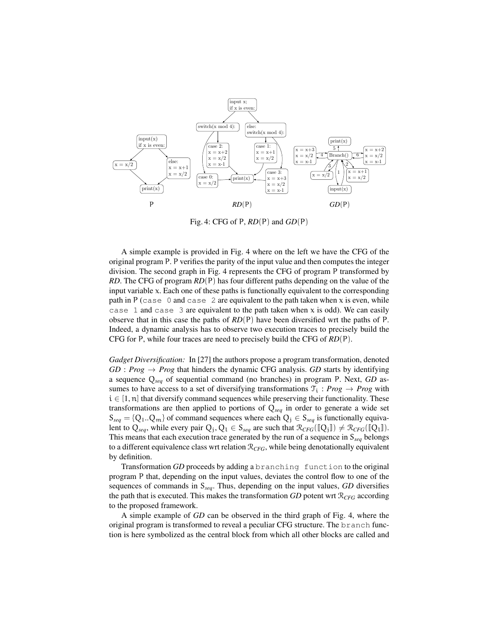

Fig. 4: CFG of P, *RD*(P) and *GD*(P)

A simple example is provided in Fig. 4 where on the left we have the CFG of the original program P. P verifies the parity of the input value and then computes the integer division. The second graph in Fig. 4 represents the CFG of program P transformed by *RD*. The CFG of program *RD*(P) has four different paths depending on the value of the input variable  $x$ . Each one of these paths is functionally equivalent to the corresponding path in P (case 0 and case 2 are equivalent to the path taken when  $x$  is even, while case 1 and case 3 are equivalent to the path taken when x is odd). We can easily observe that in this case the paths of *RD*(P) have been diversified wrt the paths of P. Indeed, a dynamic analysis has to observe two execution traces to precisely build the CFG for P, while four traces are need to precisely build the CFG of *RD*(P).

*Gadget Diversification:* In [27] the authors propose a program transformation, denoted  $GD : Prog \rightarrow Prog$  that hinders the dynamic CFG analysis. *GD* starts by identifying a sequence Q*seq* of sequential command (no branches) in program P. Next, *GD* assumes to have access to a set of diversifying transformations  $\mathcal{T}_i$ : *Prog*  $\rightarrow$  *Prog* with  $i \in [1, n]$  that diversify command sequences while preserving their functionality. These transformations are then applied to portions of Q*seq* in order to generate a wide set  $S_{\text{seq}} = \{Q_1 \ldots Q_m\}$  of command sequences where each  $Q_j \in S_{\text{seq}}$  is functionally equivalent to  $Q_{seq}$ , while every pair  $Q_j, Q_l \in S_{seq}$  are such that  $\mathcal{R}_{CFG}([\![Q_j]\!]) \neq \mathcal{R}_{CFG}([\![Q_l]\!])$ . This means that each execution trace generated by the run of a sequence in S*seq* belongs to a different equivalence class wrt relation R*CFG*, while being denotationally equivalent by definition.

Transformation *GD* proceeds by adding a branching function to the original program P that, depending on the input values, deviates the control flow to one of the sequences of commands in S*seq*. Thus, depending on the input values, *GD* diversifies the path that is executed. This makes the transformation *GD* potent wrt  $\mathcal{R}_{CFG}$  according to the proposed framework.

A simple example of *GD* can be observed in the third graph of Fig. 4, where the original program is transformed to reveal a peculiar CFG structure. The branch function is here symbolized as the central block from which all other blocks are called and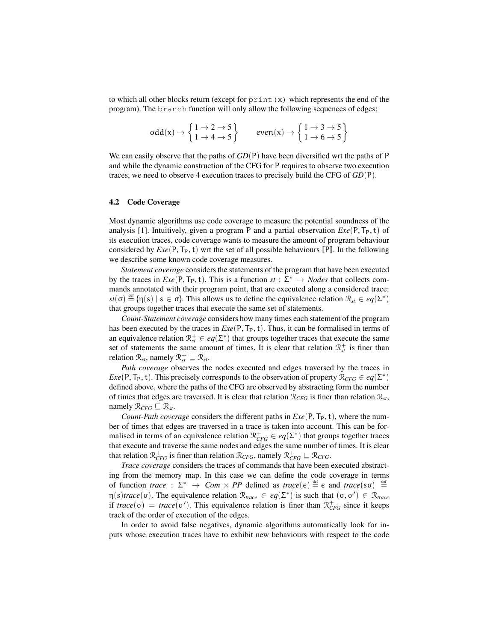to which all other blocks return (except for  $\text{print}(x)$ ) which represents the end of the program). The branch function will only allow the following sequences of edges:

$$
\text{odd}(x) \rightarrow \left\{ \begin{matrix} 1\rightarrow 2\rightarrow 5 \\ 1\rightarrow 4\rightarrow 5 \end{matrix} \right\} \qquad \text{even}(x) \rightarrow \left\{ \begin{matrix} 1\rightarrow 3\rightarrow 5 \\ 1\rightarrow 6\rightarrow 5 \end{matrix} \right\}
$$

We can easily observe that the paths of *GD*(P) have been diversified wrt the paths of P and while the dynamic construction of the CFG for P requires to observe two execution traces, we need to observe 4 execution traces to precisely build the CFG of *GD*(P).

#### 4.2 Code Coverage

Most dynamic algorithms use code coverage to measure the potential soundness of the analysis [1]. Intuitively, given a program P and a partial observation  $Exe(P, T_P, t)$  of its execution traces, code coverage wants to measure the amount of program behaviour considered by  $Exe(P, T_P, t)$  wrt the set of all possible behaviours  $[P]$ . In the following we describe some known code coverage measures.

*Statement coverage* considers the statements of the program that have been executed by the traces in  $Exe(P, T_P, t)$ . This is a function  $st : \Sigma^* \to Nodes$  that collects commands annotated with their program point, that are executed along a considered trace:  $st(\sigma) \stackrel{\text{def}}{=} {\{\eta(s) \mid s \in \sigma\}}.$  This allows us to define the equivalence relation  $\mathcal{R}_{st} \in eq(\Sigma^*)$ that groups together traces that execute the same set of statements.

*Count-Statement coverage* considers how many times each statement of the program has been executed by the traces in  $Exe(P, T_P, t)$ . Thus, it can be formalised in terms of an equivalence relation  $\mathcal{R}_{st}^+ \in eq(\Sigma^*)$  that groups together traces that execute the same set of statements the same amount of times. It is clear that relation  $\mathcal{R}^+_{st}$  is finer than relation  $\mathcal{R}_{st}$ , namely  $\mathcal{R}_{st}^+ \sqsubseteq \mathcal{R}_{st}$ .

*Path coverage* observes the nodes executed and edges traversed by the traces in *Exe*(P, T<sub>P</sub>, t). This precisely corresponds to the observation of property  $\mathcal{R}_{CFG} \in eq(\Sigma^*)$ defined above, where the paths of the CFG are observed by abstracting form the number of times that edges are traversed. It is clear that relation  $\mathcal{R}_{CFG}$  is finer than relation  $\mathcal{R}_{st}$ , namely  $\mathcal{R}_{CFG} \sqsubset \mathcal{R}_{st}$ .

*Count-Path coverage* considers the different paths in  $Exe(P, T_P, t)$ , where the number of times that edges are traversed in a trace is taken into account. This can be formalised in terms of an equivalence relation  $\mathcal{R}_{CFG}^+ \in eq(\Sigma^*)$  that groups together traces that execute and traverse the same nodes and edges the same number of times. It is clear that relation  $\mathcal{R}_{CFG}^+$  is finer than relation  $\mathcal{R}_{CFG}$ , namely  $\mathcal{R}_{CFG}^+ \sqsubseteq \mathcal{R}_{CFG}$ .

*Trace coverage* considers the traces of commands that have been executed abstracting from the memory map. In this case we can define the code coverage in terms of function *trace* :  $\Sigma^* \to Com \times PP$  defined as *trace*( $\varepsilon$ )  $\stackrel{\text{def}}{=} \varepsilon$  and *trace*( $s\sigma$ )  $\stackrel{\text{def}}{=}$  $\eta(s) \text{trace}(\sigma)$ . The equivalence relation  $\mathcal{R}_{\text{trace}} \in \text{eq}(\Sigma^*)$  is such that  $(\sigma, \sigma') \in \mathcal{R}_{\text{trace}}$ if  $trace(\sigma) = trace(\sigma')$ . This equivalence relation is finer than  $\mathcal{R}_{CFG}^{+}$  since it keeps track of the order of execution of the edges.

In order to avoid false negatives, dynamic algorithms automatically look for inputs whose execution traces have to exhibit new behaviours with respect to the code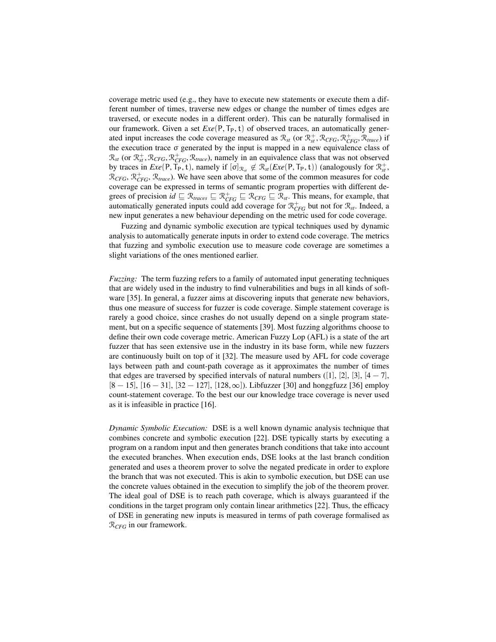coverage metric used (e.g., they have to execute new statements or execute them a different number of times, traverse new edges or change the number of times edges are traversed, or execute nodes in a different order). This can be naturally formalised in our framework. Given a set  $Exe(P, T_P, t)$  of observed traces, an automatically generated input increases the code coverage measured as  $\mathcal{R}_{st}$  (or  $\mathcal{R}_{st}^+$ ,  $\mathcal{R}_{CFG}$ ,  $\mathcal{R}_{trace}^+$ ,  $\mathcal{R}_{trace}$ ) if the execution trace σ generated by the input is mapped in a new equivalence class of  $\mathcal{R}_{st}$  (or  $\mathcal{R}_{st}^+$ ,  $\mathcal{R}_{CFG}$ ,  $\mathcal{R}_{trace}^+$ ,  $\mathcal{R}_{trace}$ ), namely in an equivalence class that was not observed by traces in  $Exe(P, T_P, t)$ , namely if  $[\sigma]_{\mathcal{R}_st} \notin \mathcal{R}_{st}(Exe(P, T_P, t))$  (analogously for  $\mathcal{R}_{st}^+$ ,  $\mathcal{R}_{CFG}$ ,  $\mathcal{R}_{TFG}^+$ ,  $\mathcal{R}_{trace}$ ). We have seen above that some of the common measures for code coverage can be expressed in terms of semantic program properties with different degrees of precision  $id \subseteq \mathcal{R}_{traces} \subseteq \mathcal{R}_{CFG} \subseteq \mathcal{R}_{CFG} \subseteq \mathcal{R}_{st}$ . This means, for example, that automatically generated inputs could add coverage for  $\mathcal{R}_{CFG}^{+}$  but not for  $\mathcal{R}_{st}$ . Indeed, a new input generates a new behaviour depending on the metric used for code coverage.

Fuzzing and dynamic symbolic execution are typical techniques used by dynamic analysis to automatically generate inputs in order to extend code coverage. The metrics that fuzzing and symbolic execution use to measure code coverage are sometimes a slight variations of the ones mentioned earlier.

*Fuzzing:* The term fuzzing refers to a family of automated input generating techniques that are widely used in the industry to find vulnerabilities and bugs in all kinds of software [35]. In general, a fuzzer aims at discovering inputs that generate new behaviors, thus one measure of success for fuzzer is code coverage. Simple statement coverage is rarely a good choice, since crashes do not usually depend on a single program statement, but on a specific sequence of statements [39]. Most fuzzing algorithms choose to define their own code coverage metric. American Fuzzy Lop (AFL) is a state of the art fuzzer that has seen extensive use in the industry in its base form, while new fuzzers are continuously built on top of it [32]. The measure used by AFL for code coverage lays between path and count-path coverage as it approximates the number of times that edges are traversed by specified intervals of natural numbers ([1], [2], [3], [4 – 7],  $[8 - 15]$ ,  $[16 - 31]$ ,  $[32 - 127]$ ,  $[128, \infty]$ ). Libfuzzer [30] and honggfuzz [36] employ count-statement coverage. To the best our our knowledge trace coverage is never used as it is infeasible in practice [16].

*Dynamic Symbolic Execution:* DSE is a well known dynamic analysis technique that combines concrete and symbolic execution [22]. DSE typically starts by executing a program on a random input and then generates branch conditions that take into account the executed branches. When execution ends, DSE looks at the last branch condition generated and uses a theorem prover to solve the negated predicate in order to explore the branch that was not executed. This is akin to symbolic execution, but DSE can use the concrete values obtained in the execution to simplify the job of the theorem prover. The ideal goal of DSE is to reach path coverage, which is always guaranteed if the conditions in the target program only contain linear arithmetics [22]. Thus, the efficacy of DSE in generating new inputs is measured in terms of path coverage formalised as R*CFG* in our framework.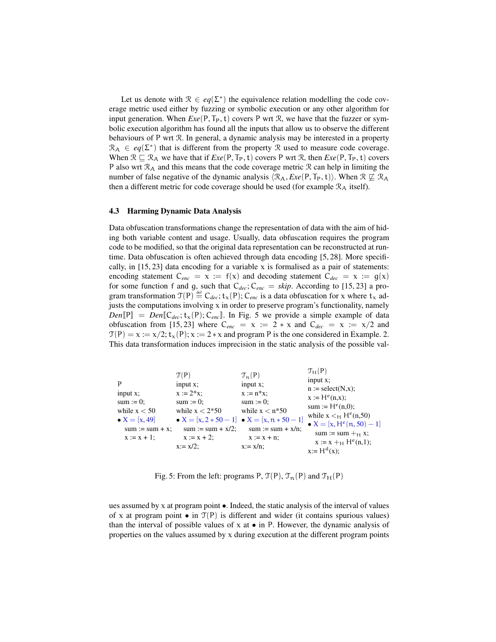Let us denote with  $\mathcal{R} \in eq(\Sigma^*)$  the equivalence relation modelling the code coverage metric used either by fuzzing or symbolic execution or any other algorithm for input generation. When  $Exe(P, T_P, t)$  covers P wrt  $R$ , we have that the fuzzer or symbolic execution algorithm has found all the inputs that allow us to observe the different behaviours of P wrt R. In general, a dynamic analysis may be interested in a property  $\mathcal{R}_A \in eq(\Sigma^*)$  that is different from the property R used to measure code coverage. When  $\mathcal{R} \subseteq \mathcal{R}_A$  we have that if  $Exe(P, T_P, t)$  covers P wrt  $\mathcal{R}$ , then  $Exe(P, T_P, t)$  covers P also wrt  $\mathcal{R}_A$  and this means that the code coverage metric  $\mathcal{R}$  can help in limiting the number of false negative of the dynamic analysis  $\langle \mathcal{R}_A, Exe(P, T_P, t) \rangle$ . When  $\mathcal{R} \not\sqsubseteq \mathcal{R}_A$ then a different metric for code coverage should be used (for example  $\mathcal{R}_A$  itself).

#### 4.3 Harming Dynamic Data Analysis

Data obfuscation transformations change the representation of data with the aim of hiding both variable content and usage. Usually, data obfuscation requires the program code to be modified, so that the original data representation can be reconstructed at runtime. Data obfuscation is often achieved through data encoding [5, 28]. More specifically, in  $[15, 23]$  data encoding for a variable x is formalised as a pair of statements: encoding statement  $C_{enc} = x := f(x)$  and decoding statement  $C_{dec} = x := g(x)$ for some function f and g, such that  $C_{dec}$ ;  $C_{enc} = skip$ . According to [15, 23] a program transformation  $T(P) \stackrel{\text{def}}{=} C_{dec}$ ;  $t_x(P)$ ;  $C_{enc}$  is a data obfuscation for x where  $t_x$  adjusts the computations involving  $x$  in order to preserve program's functionality, namely  $Den[\mathbb{P}] = Den[\mathbb{C}_{dec}; t_x(\mathbb{P}); \mathbb{C}_{enc}].$  In Fig. 5 we provide a simple example of data obfuscation from [15, 23] where  $C_{enc} = x := 2 * x$  and  $C_{dec} = x := x/2$  and  $T(P) = x := x/2$ ;  $t_x(P)$ ;  $x := 2 * x$  and program P is the one considered in Example. 2. This data transformation induces imprecision in the static analysis of the possible val-



Fig. 5: From the left: programs P,  $\mathcal{T}(P)$ ,  $\mathcal{T}_n(P)$  and  $\mathcal{T}_H(P)$ 

ues assumed by  $x$  at program point  $\bullet$ . Indeed, the static analysis of the interval of values of x at program point  $\bullet$  in  $\mathcal{T}(P)$  is different and wider (it contains spurious values) than the interval of possible values of  $x$  at  $\bullet$  in P. However, the dynamic analysis of properties on the values assumed by  $x$  during execution at the different program points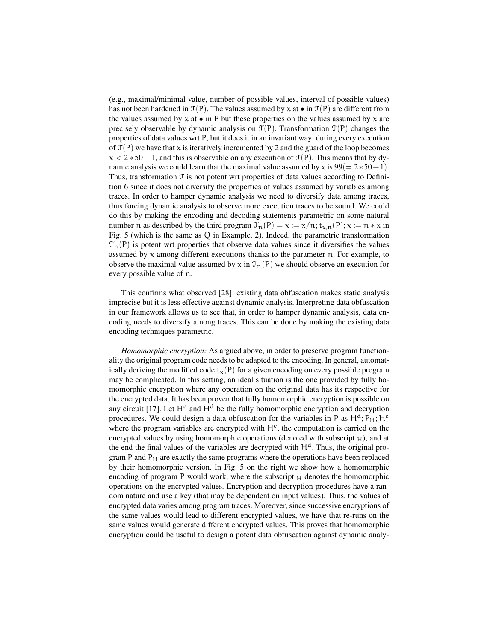(e.g., maximal/minimal value, number of possible values, interval of possible values) has not been hardened in  $\mathcal{T}(P)$ . The values assumed by x at  $\bullet$  in  $\mathcal{T}(P)$  are different from the values assumed by  $x$  at  $\bullet$  in P but these properties on the values assumed by  $x$  are precisely observable by dynamic analysis on  $T(P)$ . Transformation  $T(P)$  changes the properties of data values wrt P, but it does it in an invariant way: during every execution of  $\mathcal{T}(P)$  we have that x is iteratively incremented by 2 and the guard of the loop becomes  $x < 2 * 50 - 1$ , and this is observable on any execution of  $\mathcal{T}(P)$ . This means that by dynamic analysis we could learn that the maximal value assumed by x is  $99(= 2*50-1)$ . Thus, transformation  $T$  is not potent wrt properties of data values according to Definition 6 since it does not diversify the properties of values assumed by variables among traces. In order to hamper dynamic analysis we need to diversify data among traces, thus forcing dynamic analysis to observe more execution traces to be sound. We could do this by making the encoding and decoding statements parametric on some natural number n as described by the third program  $\mathcal{T}_n(P) = x := x/n$ ;  $t_{x,n}(P)$ ;  $x := n * x$  in Fig. 5 (which is the same as Q in Example. 2). Indeed, the parametric transformation  $\mathcal{T}_n(P)$  is potent wrt properties that observe data values since it diversifies the values assumed by  $x$  among different executions thanks to the parameter n. For example, to observe the maximal value assumed by x in  $\mathcal{T}_n(P)$  we should observe an execution for every possible value of n.

This confirms what observed [28]: existing data obfuscation makes static analysis imprecise but it is less effective against dynamic analysis. Interpreting data obfuscation in our framework allows us to see that, in order to hamper dynamic analysis, data encoding needs to diversify among traces. This can be done by making the existing data encoding techniques parametric.

*Homomorphic encryption:* As argued above, in order to preserve program functionality the original program code needs to be adapted to the encoding. In general, automatically deriving the modified code  $t<sub>x</sub>(P)$  for a given encoding on every possible program may be complicated. In this setting, an ideal situation is the one provided by fully homomorphic encryption where any operation on the original data has its respective for the encrypted data. It has been proven that fully homomorphic encryption is possible on any circuit [17]. Let  $H^e$  and  $H^d$  be the fully homomorphic encryption and decryption procedures. We could design a data obfuscation for the variables in P as  $H<sup>d</sup>$ ;  $P<sub>H</sub>$ ;  $H<sup>e</sup>$ where the program variables are encrypted with  $H^e$ , the computation is carried on the encrypted values by using homomorphic operations (denoted with subscript  $_H$ ), and at the end the final values of the variables are decrypted with  $H<sup>d</sup>$ . Thus, the original program P and  $P_H$  are exactly the same programs where the operations have been replaced by their homomorphic version. In Fig. 5 on the right we show how a homomorphic encoding of program P would work, where the subscript  $H$  denotes the homomorphic operations on the encrypted values. Encryption and decryption procedures have a random nature and use a key (that may be dependent on input values). Thus, the values of encrypted data varies among program traces. Moreover, since successive encryptions of the same values would lead to different encrypted values, we have that re-runs on the same values would generate different encrypted values. This proves that homomorphic encryption could be useful to design a potent data obfuscation against dynamic analy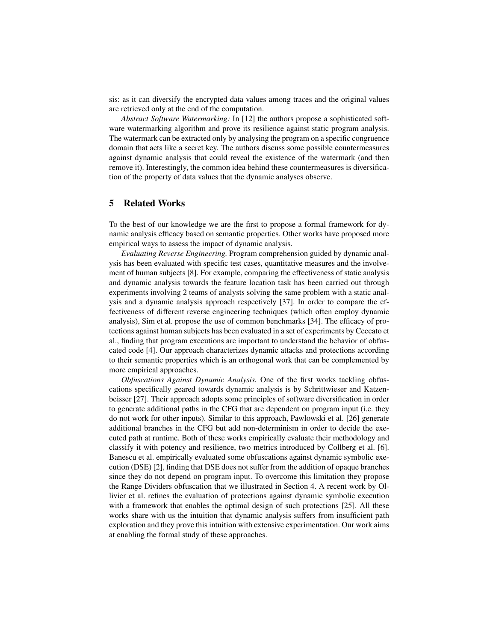sis: as it can diversify the encrypted data values among traces and the original values are retrieved only at the end of the computation.

*Abstract Software Watermarking:* In [12] the authors propose a sophisticated software watermarking algorithm and prove its resilience against static program analysis. The watermark can be extracted only by analysing the program on a specific congruence domain that acts like a secret key. The authors discuss some possible countermeasures against dynamic analysis that could reveal the existence of the watermark (and then remove it). Interestingly, the common idea behind these countermeasures is diversification of the property of data values that the dynamic analyses observe.

## 5 Related Works

To the best of our knowledge we are the first to propose a formal framework for dynamic analysis efficacy based on semantic properties. Other works have proposed more empirical ways to assess the impact of dynamic analysis.

*Evaluating Reverse Engineering.* Program comprehension guided by dynamic analysis has been evaluated with specific test cases, quantitative measures and the involvement of human subjects [8]. For example, comparing the effectiveness of static analysis and dynamic analysis towards the feature location task has been carried out through experiments involving 2 teams of analysts solving the same problem with a static analysis and a dynamic analysis approach respectively [37]. In order to compare the effectiveness of different reverse engineering techniques (which often employ dynamic analysis), Sim et al. propose the use of common benchmarks [34]. The efficacy of protections against human subjects has been evaluated in a set of experiments by Ceccato et al., finding that program executions are important to understand the behavior of obfuscated code [4]. Our approach characterizes dynamic attacks and protections according to their semantic properties which is an orthogonal work that can be complemented by more empirical approaches.

*Obfuscations Against Dynamic Analysis.* One of the first works tackling obfuscations specifically geared towards dynamic analysis is by Schrittwieser and Katzenbeisser [27]. Their approach adopts some principles of software diversification in order to generate additional paths in the CFG that are dependent on program input (i.e. they do not work for other inputs). Similar to this approach, Pawlowski et al. [26] generate additional branches in the CFG but add non-determinism in order to decide the executed path at runtime. Both of these works empirically evaluate their methodology and classify it with potency and resilience, two metrics introduced by Collberg et al. [6]. Banescu et al. empirically evaluated some obfuscations against dynamic symbolic execution (DSE) [2], finding that DSE does not suffer from the addition of opaque branches since they do not depend on program input. To overcome this limitation they propose the Range Dividers obfuscation that we illustrated in Section 4. A recent work by Ollivier et al. refines the evaluation of protections against dynamic symbolic execution with a framework that enables the optimal design of such protections [25]. All these works share with us the intuition that dynamic analysis suffers from insufficient path exploration and they prove this intuition with extensive experimentation. Our work aims at enabling the formal study of these approaches.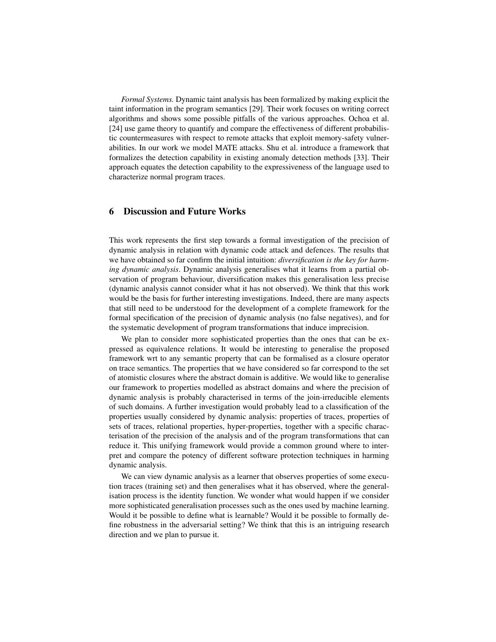*Formal Systems.* Dynamic taint analysis has been formalized by making explicit the taint information in the program semantics [29]. Their work focuses on writing correct algorithms and shows some possible pitfalls of the various approaches. Ochoa et al. [24] use game theory to quantify and compare the effectiveness of different probabilistic countermeasures with respect to remote attacks that exploit memory-safety vulnerabilities. In our work we model MATE attacks. Shu et al. introduce a framework that formalizes the detection capability in existing anomaly detection methods [33]. Their approach equates the detection capability to the expressiveness of the language used to characterize normal program traces.

# 6 Discussion and Future Works

This work represents the first step towards a formal investigation of the precision of dynamic analysis in relation with dynamic code attack and defences. The results that we have obtained so far confirm the initial intuition: *diversification is the key for harming dynamic analysis*. Dynamic analysis generalises what it learns from a partial observation of program behaviour, diversification makes this generalisation less precise (dynamic analysis cannot consider what it has not observed). We think that this work would be the basis for further interesting investigations. Indeed, there are many aspects that still need to be understood for the development of a complete framework for the formal specification of the precision of dynamic analysis (no false negatives), and for the systematic development of program transformations that induce imprecision.

We plan to consider more sophisticated properties than the ones that can be expressed as equivalence relations. It would be interesting to generalise the proposed framework wrt to any semantic property that can be formalised as a closure operator on trace semantics. The properties that we have considered so far correspond to the set of atomistic closures where the abstract domain is additive. We would like to generalise our framework to properties modelled as abstract domains and where the precision of dynamic analysis is probably characterised in terms of the join-irreducible elements of such domains. A further investigation would probably lead to a classification of the properties usually considered by dynamic analysis: properties of traces, properties of sets of traces, relational properties, hyper-properties, together with a specific characterisation of the precision of the analysis and of the program transformations that can reduce it. This unifying framework would provide a common ground where to interpret and compare the potency of different software protection techniques in harming dynamic analysis.

We can view dynamic analysis as a learner that observes properties of some execution traces (training set) and then generalises what it has observed, where the generalisation process is the identity function. We wonder what would happen if we consider more sophisticated generalisation processes such as the ones used by machine learning. Would it be possible to define what is learnable? Would it be possible to formally define robustness in the adversarial setting? We think that this is an intriguing research direction and we plan to pursue it.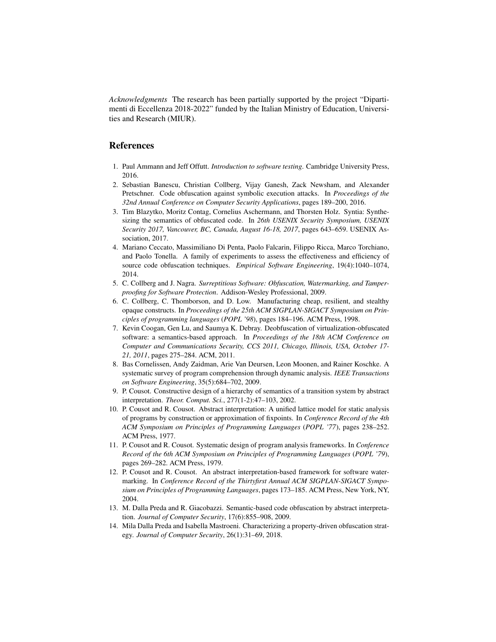*Acknowledgments* The research has been partially supported by the project "Dipartimenti di Eccellenza 2018-2022" funded by the Italian Ministry of Education, Universities and Research (MIUR).

## References

- 1. Paul Ammann and Jeff Offutt. *Introduction to software testing*. Cambridge University Press, 2016.
- 2. Sebastian Banescu, Christian Collberg, Vijay Ganesh, Zack Newsham, and Alexander Pretschner. Code obfuscation against symbolic execution attacks. In *Proceedings of the 32nd Annual Conference on Computer Security Applications*, pages 189–200, 2016.
- 3. Tim Blazytko, Moritz Contag, Cornelius Aschermann, and Thorsten Holz. Syntia: Synthesizing the semantics of obfuscated code. In *26th USENIX Security Symposium, USENIX Security 2017, Vancouver, BC, Canada, August 16-18, 2017*, pages 643–659. USENIX Association, 2017.
- 4. Mariano Ceccato, Massimiliano Di Penta, Paolo Falcarin, Filippo Ricca, Marco Torchiano, and Paolo Tonella. A family of experiments to assess the effectiveness and efficiency of source code obfuscation techniques. *Empirical Software Engineering*, 19(4):1040–1074, 2014.
- 5. C. Collberg and J. Nagra. *Surreptitious Software: Obfuscation, Watermarking, and Tamperproofing for Software Protection*. Addison-Wesley Professional, 2009.
- 6. C. Collberg, C. Thomborson, and D. Low. Manufacturing cheap, resilient, and stealthy opaque constructs. In *Proceedings of the 25th ACM SIGPLAN-SIGACT Symposium on Principles of programming languages* (*POPL '98*), pages 184–196. ACM Press, 1998.
- 7. Kevin Coogan, Gen Lu, and Saumya K. Debray. Deobfuscation of virtualization-obfuscated software: a semantics-based approach. In *Proceedings of the 18th ACM Conference on Computer and Communications Security, CCS 2011, Chicago, Illinois, USA, October 17- 21, 2011*, pages 275–284. ACM, 2011.
- 8. Bas Cornelissen, Andy Zaidman, Arie Van Deursen, Leon Moonen, and Rainer Koschke. A systematic survey of program comprehension through dynamic analysis. *IEEE Transactions on Software Engineering*, 35(5):684–702, 2009.
- 9. P. Cousot. Constructive design of a hierarchy of semantics of a transition system by abstract interpretation. *Theor. Comput. Sci.*, 277(1-2):47–103, 2002.
- 10. P. Cousot and R. Cousot. Abstract interpretation: A unified lattice model for static analysis of programs by construction or approximation of fixpoints. In *Conference Record of the 4th ACM Symposium on Principles of Programming Languages* (*POPL '77*), pages 238–252. ACM Press, 1977.
- 11. P. Cousot and R. Cousot. Systematic design of program analysis frameworks. In *Conference Record of the 6th ACM Symposium on Principles of Programming Languages* (*POPL '79*), pages 269–282. ACM Press, 1979.
- 12. P. Cousot and R. Cousot. An abstract interpretation-based framework for software watermarking. In *Conference Record of the Thirtyfirst Annual ACM SIGPLAN-SIGACT Symposium on Principles of Programming Languages*, pages 173–185. ACM Press, New York, NY, 2004.
- 13. M. Dalla Preda and R. Giacobazzi. Semantic-based code obfuscation by abstract interpretation. *Journal of Computer Security*, 17(6):855–908, 2009.
- 14. Mila Dalla Preda and Isabella Mastroeni. Characterizing a property-driven obfuscation strategy. *Journal of Computer Security*, 26(1):31–69, 2018.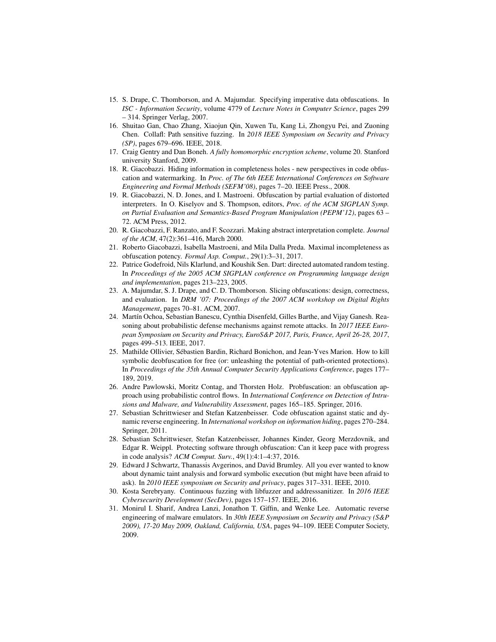- 15. S. Drape, C. Thomborson, and A. Majumdar. Specifying imperative data obfuscations. In *ISC - Information Security*, volume 4779 of *Lecture Notes in Computer Science*, pages 299 – 314. Springer Verlag, 2007.
- 16. Shuitao Gan, Chao Zhang, Xiaojun Qin, Xuwen Tu, Kang Li, Zhongyu Pei, and Zuoning Chen. Collafl: Path sensitive fuzzing. In *2018 IEEE Symposium on Security and Privacy (SP)*, pages 679–696. IEEE, 2018.
- 17. Craig Gentry and Dan Boneh. *A fully homomorphic encryption scheme*, volume 20. Stanford university Stanford, 2009.
- 18. R. Giacobazzi. Hiding information in completeness holes new perspectives in code obfuscation and watermarking. In *Proc. of The 6th IEEE International Conferences on Software Engineering and Formal Methods (SEFM'08)*, pages 7–20. IEEE Press., 2008.
- 19. R. Giacobazzi, N. D. Jones, and I. Mastroeni. Obfuscation by partial evaluation of distorted interpreters. In O. Kiselyov and S. Thompson, editors, *Proc. of the ACM SIGPLAN Symp. on Partial Evaluation and Semantics-Based Program Manipulation (PEPM'12)*, pages 63 – 72. ACM Press, 2012.
- 20. R. Giacobazzi, F. Ranzato, and F. Scozzari. Making abstract interpretation complete. *Journal of the ACM*, 47(2):361–416, March 2000.
- 21. Roberto Giacobazzi, Isabella Mastroeni, and Mila Dalla Preda. Maximal incompleteness as obfuscation potency. *Formal Asp. Comput.*, 29(1):3–31, 2017.
- 22. Patrice Godefroid, Nils Klarlund, and Koushik Sen. Dart: directed automated random testing. In *Proceedings of the 2005 ACM SIGPLAN conference on Programming language design and implementation*, pages 213–223, 2005.
- 23. A. Majumdar, S. J. Drape, and C. D. Thomborson. Slicing obfuscations: design, correctness, and evaluation. In *DRM '07: Proceedings of the 2007 ACM workshop on Digital Rights Management*, pages 70–81. ACM, 2007.
- 24. Martín Ochoa, Sebastian Banescu, Cynthia Disenfeld, Gilles Barthe, and Vijay Ganesh. Reasoning about probabilistic defense mechanisms against remote attacks. In *2017 IEEE European Symposium on Security and Privacy, EuroS&P 2017, Paris, France, April 26-28, 2017*, pages 499–513. IEEE, 2017.
- 25. Mathilde Ollivier, Sebastien Bardin, Richard Bonichon, and Jean-Yves Marion. How to kill ´ symbolic deobfuscation for free (or: unleashing the potential of path-oriented protections). In *Proceedings of the 35th Annual Computer Security Applications Conference*, pages 177– 189, 2019.
- 26. Andre Pawlowski, Moritz Contag, and Thorsten Holz. Probfuscation: an obfuscation approach using probabilistic control flows. In *International Conference on Detection of Intrusions and Malware, and Vulnerability Assessment*, pages 165–185. Springer, 2016.
- 27. Sebastian Schrittwieser and Stefan Katzenbeisser. Code obfuscation against static and dynamic reverse engineering. In *International workshop on information hiding*, pages 270–284. Springer, 2011.
- 28. Sebastian Schrittwieser, Stefan Katzenbeisser, Johannes Kinder, Georg Merzdovnik, and Edgar R. Weippl. Protecting software through obfuscation: Can it keep pace with progress in code analysis? *ACM Comput. Surv.*, 49(1):4:1–4:37, 2016.
- 29. Edward J Schwartz, Thanassis Avgerinos, and David Brumley. All you ever wanted to know about dynamic taint analysis and forward symbolic execution (but might have been afraid to ask). In *2010 IEEE symposium on Security and privacy*, pages 317–331. IEEE, 2010.
- 30. Kosta Serebryany. Continuous fuzzing with libfuzzer and addresssanitizer. In *2016 IEEE Cybersecurity Development (SecDev)*, pages 157–157. IEEE, 2016.
- 31. Monirul I. Sharif, Andrea Lanzi, Jonathon T. Giffin, and Wenke Lee. Automatic reverse engineering of malware emulators. In *30th IEEE Symposium on Security and Privacy (S&P 2009), 17-20 May 2009, Oakland, California, USA*, pages 94–109. IEEE Computer Society, 2009.